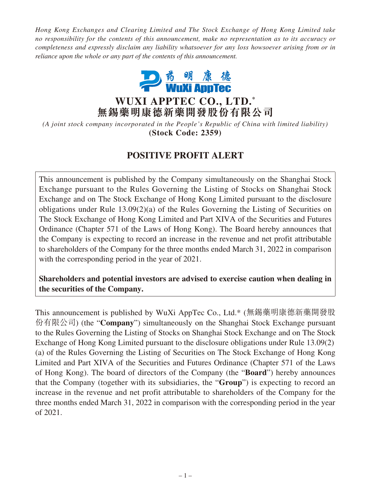*Hong Kong Exchanges and Clearing Limited and The Stock Exchange of Hong Kong Limited take no responsibility for the contents of this announcement, make no representation as to its accuracy or completeness and expressly disclaim any liability whatsoever for any loss howsoever arising from or in reliance upon the whole or any part of the contents of this announcement.*



**WUXI APPTEC CO., LTD. \* 無錫藥明康德新藥開發股份有限公司**

*(A joint stock company incorporated in the People's Republic of China with limited liability)* **(Stock Code: 2359)**

# **POSITIVE PROFIT ALERT**

This announcement is published by the Company simultaneously on the Shanghai Stock Exchange pursuant to the Rules Governing the Listing of Stocks on Shanghai Stock Exchange and on The Stock Exchange of Hong Kong Limited pursuant to the disclosure obligations under Rule 13.09(2)(a) of the Rules Governing the Listing of Securities on The Stock Exchange of Hong Kong Limited and Part XIVA of the Securities and Futures Ordinance (Chapter 571 of the Laws of Hong Kong). The Board hereby announces that the Company is expecting to record an increase in the revenue and net profit attributable to shareholders of the Company for the three months ended March 31, 2022 in comparison with the corresponding period in the year of 2021.

**Shareholders and potential investors are advised to exercise caution when dealing in the securities of the Company.**

This announcement is published by WuXi AppTec Co., Ltd.\* (無錫藥明康德新藥開發股 份有限公司) (the "**Company**") simultaneously on the Shanghai Stock Exchange pursuant to the Rules Governing the Listing of Stocks on Shanghai Stock Exchange and on The Stock Exchange of Hong Kong Limited pursuant to the disclosure obligations under Rule 13.09(2) (a) of the Rules Governing the Listing of Securities on The Stock Exchange of Hong Kong Limited and Part XIVA of the Securities and Futures Ordinance (Chapter 571 of the Laws of Hong Kong). The board of directors of the Company (the "**Board**") hereby announces that the Company (together with its subsidiaries, the "**Group**") is expecting to record an increase in the revenue and net profit attributable to shareholders of the Company for the three months ended March 31, 2022 in comparison with the corresponding period in the year of 2021.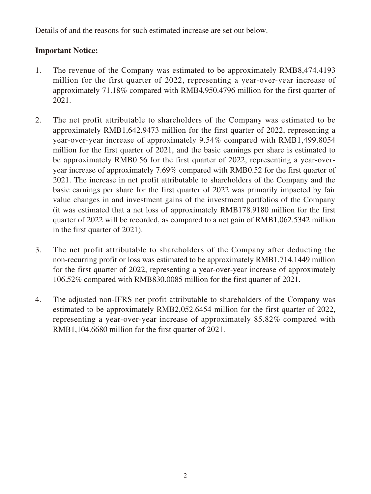Details of and the reasons for such estimated increase are set out below.

### **Important Notice:**

- 1. The revenue of the Company was estimated to be approximately RMB8,474.4193 million for the first quarter of 2022, representing a year-over-year increase of approximately 71.18% compared with RMB4,950.4796 million for the first quarter of 2021.
- 2. The net profit attributable to shareholders of the Company was estimated to be approximately RMB1,642.9473 million for the first quarter of 2022, representing a year-over-year increase of approximately 9.54% compared with RMB1,499.8054 million for the first quarter of 2021, and the basic earnings per share is estimated to be approximately RMB0.56 for the first quarter of 2022, representing a year-overyear increase of approximately 7.69% compared with RMB0.52 for the first quarter of 2021. The increase in net profit attributable to shareholders of the Company and the basic earnings per share for the first quarter of 2022 was primarily impacted by fair value changes in and investment gains of the investment portfolios of the Company (it was estimated that a net loss of approximately RMB178.9180 million for the first quarter of 2022 will be recorded, as compared to a net gain of RMB1,062.5342 million in the first quarter of 2021).
- 3. The net profit attributable to shareholders of the Company after deducting the non-recurring profit or loss was estimated to be approximately RMB1,714.1449 million for the first quarter of 2022, representing a year-over-year increase of approximately 106.52% compared with RMB830.0085 million for the first quarter of 2021.
- 4. The adjusted non-IFRS net profit attributable to shareholders of the Company was estimated to be approximately RMB2,052.6454 million for the first quarter of 2022, representing a year-over-year increase of approximately 85.82% compared with RMB1,104.6680 million for the first quarter of 2021.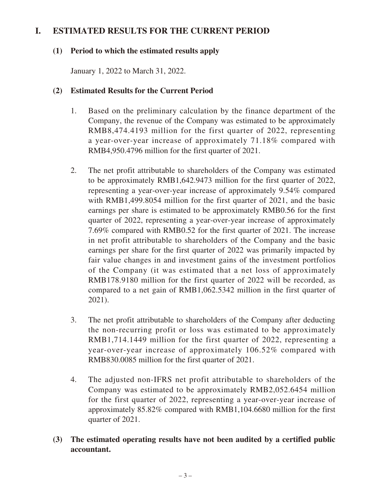### **I. ESTIMATED RESULTS FOR THE CURRENT PERIOD**

#### **(1) Period to which the estimated results apply**

January 1, 2022 to March 31, 2022.

#### **(2) Estimated Results for the Current Period**

- 1. Based on the preliminary calculation by the finance department of the Company, the revenue of the Company was estimated to be approximately RMB8,474.4193 million for the first quarter of 2022, representing a year-over-year increase of approximately 71.18% compared with RMB4,950.4796 million for the first quarter of 2021.
- 2. The net profit attributable to shareholders of the Company was estimated to be approximately RMB1,642.9473 million for the first quarter of 2022, representing a year-over-year increase of approximately 9.54% compared with RMB1,499.8054 million for the first quarter of 2021, and the basic earnings per share is estimated to be approximately RMB0.56 for the first quarter of 2022, representing a year-over-year increase of approximately 7.69% compared with RMB0.52 for the first quarter of 2021. The increase in net profit attributable to shareholders of the Company and the basic earnings per share for the first quarter of 2022 was primarily impacted by fair value changes in and investment gains of the investment portfolios of the Company (it was estimated that a net loss of approximately RMB178.9180 million for the first quarter of 2022 will be recorded, as compared to a net gain of RMB1,062.5342 million in the first quarter of 2021).
- 3. The net profit attributable to shareholders of the Company after deducting the non-recurring profit or loss was estimated to be approximately RMB1,714.1449 million for the first quarter of 2022, representing a year-over-year increase of approximately 106.52% compared with RMB830.0085 million for the first quarter of 2021.
- 4. The adjusted non-IFRS net profit attributable to shareholders of the Company was estimated to be approximately RMB2,052.6454 million for the first quarter of 2022, representing a year-over-year increase of approximately 85.82% compared with RMB1,104.6680 million for the first quarter of 2021.
- **(3) The estimated operating results have not been audited by a certified public accountant.**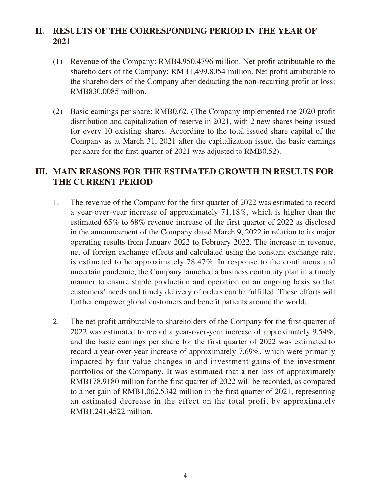# **II. RESULTS OF THE CORRESPONDING PERIOD IN THE YEAR OF 2021**

- (1) Revenue of the Company: RMB4,950.4796 million. Net profit attributable to the shareholders of the Company: RMB1,499.8054 million. Net profit attributable to the shareholders of the Company after deducting the non-recurring profit or loss: RMB830.0085 million.
- (2) Basic earnings per share: RMB0.62. (The Company implemented the 2020 profit distribution and capitalization of reserve in 2021, with 2 new shares being issued for every 10 existing shares. According to the total issued share capital of the Company as at March 31, 2021 after the capitalization issue, the basic earnings per share for the first quarter of 2021 was adjusted to RMB0.52).

### **III. MAIN REASONS FOR THE ESTIMATED GROWTH IN RESULTS FOR THE CURRENT PERIOD**

- 1. The revenue of the Company for the first quarter of 2022 was estimated to record a year-over-year increase of approximately 71.18%, which is higher than the estimated 65% to 68% revenue increase of the first quarter of 2022 as disclosed in the announcement of the Company dated March 9, 2022 in relation to its major operating results from January 2022 to February 2022. The increase in revenue, net of foreign exchange effects and calculated using the constant exchange rate, is estimated to be approximately 78.47%. In response to the continuous and uncertain pandemic, the Company launched a business continuity plan in a timely manner to ensure stable production and operation on an ongoing basis so that customers' needs and timely delivery of orders can be fulfilled. These efforts will further empower global customers and benefit patients around the world.
- 2. The net profit attributable to shareholders of the Company for the first quarter of 2022 was estimated to record a year-over-year increase of approximately 9.54%, and the basic earnings per share for the first quarter of 2022 was estimated to record a year-over-year increase of approximately 7.69%, which were primarily impacted by fair value changes in and investment gains of the investment portfolios of the Company. It was estimated that a net loss of approximately RMB178.9180 million for the first quarter of 2022 will be recorded, as compared to a net gain of RMB1,062.5342 million in the first quarter of 2021, representing an estimated decrease in the effect on the total profit by approximately RMB1,241.4522 million.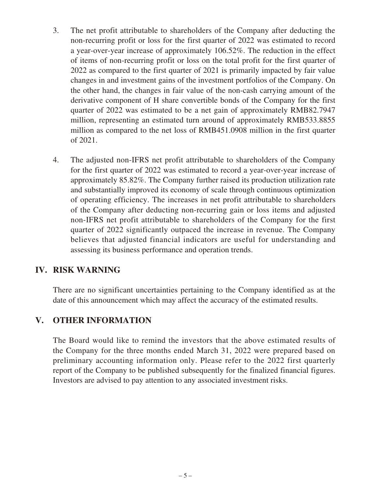- 3. The net profit attributable to shareholders of the Company after deducting the non-recurring profit or loss for the first quarter of 2022 was estimated to record a year-over-year increase of approximately 106.52%. The reduction in the effect of items of non-recurring profit or loss on the total profit for the first quarter of 2022 as compared to the first quarter of 2021 is primarily impacted by fair value changes in and investment gains of the investment portfolios of the Company. On the other hand, the changes in fair value of the non-cash carrying amount of the derivative component of H share convertible bonds of the Company for the first quarter of 2022 was estimated to be a net gain of approximately RMB82.7947 million, representing an estimated turn around of approximately RMB533.8855 million as compared to the net loss of RMB451.0908 million in the first quarter of 2021.
- 4. The adjusted non-IFRS net profit attributable to shareholders of the Company for the first quarter of 2022 was estimated to record a year-over-year increase of approximately 85.82%. The Company further raised its production utilization rate and substantially improved its economy of scale through continuous optimization of operating efficiency. The increases in net profit attributable to shareholders of the Company after deducting non-recurring gain or loss items and adjusted non-IFRS net profit attributable to shareholders of the Company for the first quarter of 2022 significantly outpaced the increase in revenue. The Company believes that adjusted financial indicators are useful for understanding and assessing its business performance and operation trends.

### **IV. RISK WARNING**

There are no significant uncertainties pertaining to the Company identified as at the date of this announcement which may affect the accuracy of the estimated results.

## **V. OTHER INFORMATION**

The Board would like to remind the investors that the above estimated results of the Company for the three months ended March 31, 2022 were prepared based on preliminary accounting information only. Please refer to the 2022 first quarterly report of the Company to be published subsequently for the finalized financial figures. Investors are advised to pay attention to any associated investment risks.